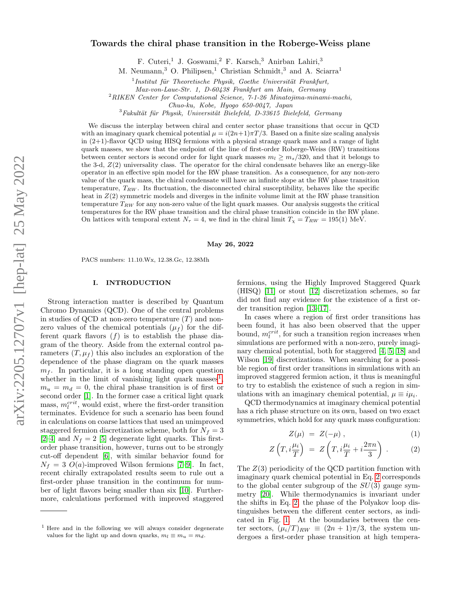## Towards the chiral phase transition in the Roberge-Weiss plane

F. Cuteri,<sup>1</sup> J. Goswami,<sup>2</sup> F. Karsch,<sup>3</sup> Anirban Lahiri,<sup>3</sup>

M. Neumann,<sup>3</sup> O. Philipsen,<sup>1</sup> Christian Schmidt,<sup>3</sup> and A. Sciarra<sup>1</sup>

 $1$ Institut für Theoretische Physik, Goethe Universität Frankfurt,

Max-von-Laue-Str. 1, D-60438 Frankfurt am Main, Germany

 $^{2}$ RIKEN Center for Computational Science, 7-1-26 Minatojima-minami-machi,

Chuo-ku, Kobe, Hyogo 650-0047, Japan

 $3$ Fakultät für Physik, Universität Bielefeld, D-33615 Bielefeld, Germany

We discuss the interplay between chiral and center sector phase transitions that occur in QCD with an imaginary quark chemical potential  $\mu = i(2n+1)\pi T/3$ . Based on a finite size scaling analysis in (2+1)-flavor QCD using HISQ fermions with a physical strange quark mass and a range of light quark masses, we show that the endpoint of the line of first-order Roberge-Weiss (RW) transitions between center sectors is second order for light quark masses  $m_l \geq m_s/320$ , and that it belongs to the 3-d,  $Z(2)$  universality class. The operator for the chiral condensate behaves like an energy-like operator in an effective spin model for the RW phase transition. As a consequence, for any non-zero value of the quark mass, the chiral condensate will have an infinite slope at the RW phase transition temperature,  $T_{RW}$ . Its fluctuation, the disconnected chiral susceptibility, behaves like the specific heat in  $Z(2)$  symmetric models and diverges in the infinite volume limit at the RW phase transition temperature  $T_{RW}$  for any non-zero value of the light quark masses. Our analysis suggests the critical temperatures for the RW phase transition and the chiral phase transition coincide in the RW plane. On lattices with temporal extent  $N_{\tau} = 4$ , we find in the chiral limit  $T_{\chi} = T_{RW} = 195(1)$  MeV.

#### May 26, 2022

PACS numbers: 11.10.Wx, 12.38.Gc, 12.38Mh

## I. INTRODUCTION

Strong interaction matter is described by Quantum Chromo Dynamics (QCD). One of the central problems in studies of QCD at non-zero temperature  $(T)$  and nonzero values of the chemical potentials  $(\mu_f)$  for the different quark flavors  $(f)$  is to establish the phase diagram of the theory. Aside from the external control parameters  $(T, \mu_f)$  this also includes an exploration of the dependence of the phase diagram on the quark masses  $m_f$ . In particular, it is a long standing open question whether in the limit of vanishing light quark masses<sup>[1](#page-0-0)</sup>,  $m_u = m_d = 0$ , the chiral phase transition is of first or second order [\[1\]](#page-15-0). In the former case a critical light quark mass,  $m_l^{crit}$ , would exist, where the first-order transition terminates. Evidence for such a scenario has been found in calculations on coarse lattices that used an unimproved staggered fermion discretization scheme, both for  $N_f = 3$ [\[2–](#page-15-1)[4\]](#page-15-2) and  $N_f = 2$  [\[5\]](#page-15-3) degenerate light quarks. This firstorder phase transition, however, turns out to be strongly cut-off dependent [\[6\]](#page-15-4), with similar behavior found for  $N_f = 3$  O(a)-improved Wilson fermions [\[7](#page-15-5)[–9\]](#page-15-6). In fact, recent chirally extrapolated results seem to rule out a first-order phase transition in the continuum for number of light flavors being smaller than six [\[10\]](#page-15-7). Furthermore, calculations performed with improved staggered

fermions, using the Highly Improved Staggered Quark (HISQ) [\[11\]](#page-15-8) or stout [\[12\]](#page-15-9) discretization schemes, so far did not find any evidence for the existence of a first order transition region [\[13](#page-15-10)[–17\]](#page-15-11).

In cases where a region of first order transitions has been found, it has also been observed that the upper bound,  $m_l^{crit}$ , for such a transition region increases when simulations are performed with a non-zero, purely imaginary chemical potential, both for staggered [\[4,](#page-15-2) [5,](#page-15-3) [18\]](#page-15-12) and Wilson [\[19\]](#page-15-13) discretizations. When searching for a possible region of first order transitions in simulations with an improved staggered fermion action, it thus is meaningful to try to establish the existence of such a region in simulations with an imaginary chemical potential,  $\mu \equiv i\mu_i$ .

QCD thermodynamics at imaginary chemical potential has a rich phase structure on its own, based on two exact symmetries, which hold for any quark mass configuration:

<span id="page-0-1"></span>
$$
Z(\mu) = Z(-\mu) , \qquad (1)
$$

$$
Z\left(T,i\frac{\mu_i}{T}\right) = Z\left(T,i\frac{\mu_i}{T} + i\frac{2\pi n}{3}\right). \tag{2}
$$

The  $Z(3)$  periodicity of the QCD partition function with imaginary quark chemical potential in Eq. [2](#page-0-1) corresponds to the global center subgroup of the  $SU(3)$  gauge symmetry [\[20\]](#page-15-14). While thermodynamics is invariant under the shifts in Eq. [2,](#page-0-1) the phase of the Polyakov loop distinguishes between the different center sectors, as indicated in Fig. [1.](#page-1-0) At the boundaries between the center sectors,  $(\mu_i/T)_{BW} \equiv (2n+1)\pi/3$ , the system undergoes a first-order phase transition at high tempera-

<span id="page-0-0"></span><sup>&</sup>lt;sup>1</sup> Here and in the following we will always consider degenerate values for the light up and down quarks,  $m_l \equiv m_u = m_d$ .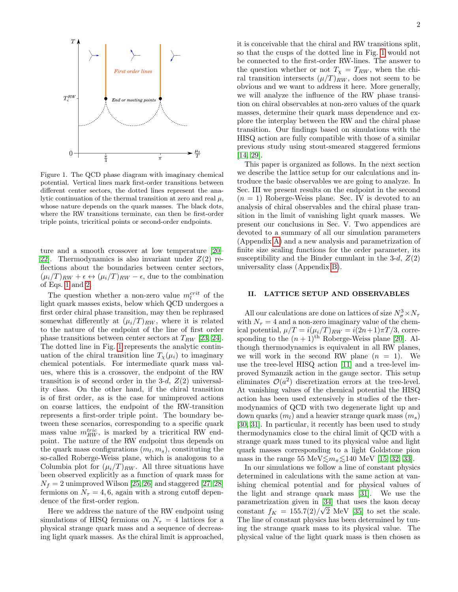

<span id="page-1-0"></span>Figure 1. The QCD phase diagram with imaginary chemical potential. Vertical lines mark first-order transitions between different center sectors, the dotted lines represent the analytic continuation of the thermal transition at zero and real  $\mu$ , whose nature depends on the quark masses. The black dots, where the RW transitions terminate, can then be first-order triple points, tricritical points or second-order endpoints.

ture and a smooth crossover at low temperature [\[20–](#page-15-14) 22. Thermodynamics is also invariant under  $Z(2)$  reflections about the boundaries between center sectors,  $(\mu_i/T)_{RW} + \epsilon \leftrightarrow (\mu_i/T)_{RW} - \epsilon$ , due to the combination of Eqs. [1](#page-0-1) and [2.](#page-0-1)

The question whether a non-zero value  $m_l^{crit}$  of the light quark masses exists, below which QCD undergoes a first order chiral phase transition, may then be rephrased somewhat differently at  $(\mu_i/T)_{RW}$ , where it is related to the nature of the endpoint of the line of first order phase transitions between center sectors at  $T_{RW}$  [\[23,](#page-15-16) [24\]](#page-15-17). The dotted line in Fig. [1](#page-1-0) represents the analytic continuation of the chiral transition line  $T_{\chi}(\mu_i)$  to imaginary chemical potentials. For intermediate quark mass values, where this is a crossover, the endpoint of the RW transition is of second order in the 3-d,  $Z(2)$  universality class. On the other hand, if the chiral transition is of first order, as is the case for unimproved actions on coarse lattices, the endpoint of the RW-transition represents a first-order triple point. The boundary between these scenarios, corresponding to a specific quark mass value  $m_{RW}^{tric}$ , is marked by a tricritical RW endpoint. The nature of the RW endpoint thus depends on the quark mass configurations  $(m_l, m_s)$ , constituting the so-called Roberge-Weiss plane, which is analogous to a Columbia plot for  $(\mu_i/T)_{RW}$ . All three situations have been observed explicitly as a function of quark mass for  $N_f = 2$  unimproved Wilson [\[25,](#page-16-0) [26\]](#page-16-1) and staggered [\[27,](#page-16-2) [28\]](#page-16-3) fermions on  $N_{\tau} = 4, 6$ , again with a strong cutoff dependence of the first-order region.

Here we address the nature of the RW endpoint using simulations of HISQ fermions on  $N_{\tau} = 4$  lattices for a physical strange quark mass and a sequence of decreasing light quark masses. As the chiral limit is approached,

it is conceivable that the chiral and RW transitions split, so that the cusps of the dotted line in Fig. [1](#page-1-0) would not be connected to the first-order RW-lines. The answer to the question whether or not  $T_{\chi} = T_{RW}$ , when the chiral transition intersects  $(\mu/T)_{RW}$ , does not seem to be obvious and we want to address it here. More generally, we will analyze the influence of the RW phase transition on chiral observables at non-zero values of the quark masses, determine their quark mass dependence and explore the interplay between the RW and the chiral phase transition. Our findings based on simulations with the HISQ action are fully compatible with those of a similar previous study using stout-smeared staggered fermions [\[14,](#page-15-18) [29\]](#page-16-4).

This paper is organized as follows. In the next section we describe the lattice setup for our calculations and introduce the basic observables we are going to analyze. In Sec. III we present results on the endpoint in the second  $(n = 1)$  Roberge-Weiss plane. Sec. IV is devoted to an analysis of chiral observables and the chiral phase transition in the limit of vanishing light quark masses. We present our conclusions in Sec. V. Two appendices are devoted to a summary of all our simulation parameters (Appendix [A\)](#page-11-0) and a new analysis and parametrization of finite size scaling functions for the order parameter, its susceptibility and the Binder cumulant in the 3-d,  $Z(2)$ universality class (Appendix [B\)](#page-11-1).

### <span id="page-1-1"></span>II. LATTICE SETUP AND OBSERVABLES

All our calculations are done on lattices of size  $N_{\sigma}^3 \times N_{\tau}$ with  $N_{\tau} = 4$  and a non-zero imaginary value of the chemical potential,  $\mu/T = i(\mu_i/T)_{RW} = i(2n+1)\pi T/3$ , corresponding to the  $(n+1)$ <sup>th</sup> Roberge-Weiss plane [\[20\]](#page-15-14). Although thermodynamics is equivalent in all RW planes, we will work in the second RW plane  $(n = 1)$ . We use the tree-level HISQ action [\[11\]](#page-15-8) and a tree-level improved Symanzik action in the gauge sector. This setup eliminates  $\mathcal{O}(a^2)$  discretization errors at the tree-level. At vanishing values of the chemical potential the HISQ action has been used extensively in studies of the thermodynamics of QCD with two degenerate light up and down quarks  $(m_l)$  and a heavier strange quark mass  $(m_s)$ [\[30,](#page-16-5) [31\]](#page-16-6). In particular, it recently has been used to study thermodynamics close to the chiral limit of QCD with a strange quark mass tuned to its physical value and light quark masses corresponding to a light Goldstone pion mass in the range 55 MeV $\leq m_{\pi} \leq 140$  MeV [\[15,](#page-15-19) [32,](#page-16-7) [33\]](#page-16-8).

In our simulations we follow a line of constant physics determined in calculations with the same action at vanishing chemical potential and for physical values of the light and strange quark mass [\[31\]](#page-16-6). We use the parametrization given in [\[34\]](#page-16-9) that uses the kaon decay constant  $f_K = 155.7(2)/\sqrt{2}$  MeV [\[35\]](#page-16-10) to set the scale. The line of constant physics has been determined by tuning the strange quark mass to its physical value. The physical value of the light quark mass is then chosen as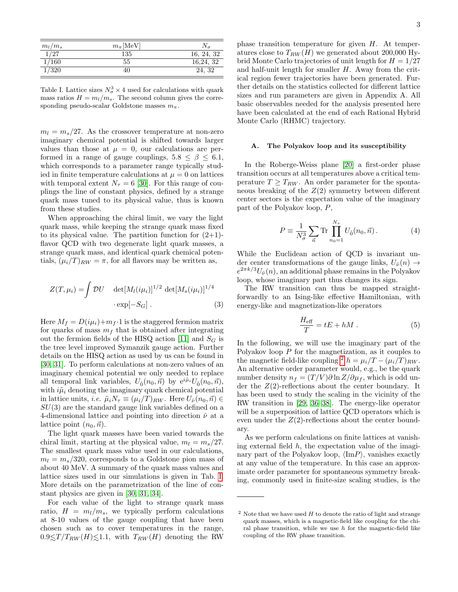| $m_l/m_s$      | $m_{\pi}$ [MeV] |            |
|----------------|-----------------|------------|
| $\frac{1}{27}$ | 135             | 16, 24, 32 |
| 1/160          | 55              | 16,24,32   |
| 1/320          | 40              | 24, 32     |

<span id="page-2-0"></span>Table I. Lattice sizes  $N_{\sigma}^3 \times 4$  used for calculations with quark mass ratios  $H = m_l/m_s$ . The second column gives the corresponding pseudo-scalar Goldstone masses  $m_{\pi}$ .

 $m_l = m_s/27$ . As the crossover temperature at non-zero imaginary chemical potential is shifted towards larger values than those at  $\mu = 0$ , our calculations are performed in a range of gauge couplings,  $5.8 \leq \beta \leq 6.1$ , which corresponds to a parameter range typically studied in finite temperature calculations at  $\mu = 0$  on lattices with temporal extent  $N_{\tau} = 6$  [\[30\]](#page-16-5). For this range of couplings the line of constant physics, defined by a strange quark mass tuned to its physical value, thus is known from these studies.

When approaching the chiral limit, we vary the light quark mass, while keeping the strange quark mass fixed to its physical value. The partition function for  $(2+1)$ flavor QCD with two degenerate light quark masses, a strange quark mass, and identical quark chemical potentials,  $(\mu_i/T)_{RW} = \pi$ , for all flavors may be written as,

$$
Z(T, \mu_i) = \int \mathcal{D}U \quad \det[M_l(i\mu_i)]^{1/2} \det[M_s(i\mu_i)]^{1/4}
$$

$$
\cdot \exp[-S_G]. \tag{3}
$$

Here  $M_f = D(i\mu_i)+m_f \cdot 1$  is the staggered fermion matrix for quarks of mass  $m<sub>f</sub>$  that is obtained after integrating out the fermion fields of the HISQ action [\[11\]](#page-15-8) and  $S_G$  is the tree level improved Symanzik gauge action. Further details on the HISQ action as used by us can be found in [\[30,](#page-16-5) [31\]](#page-16-6). To perform calculations at non-zero values of an imaginary chemical potential we only needed to replace all temporal link variables,  $U_{\hat{0}}(n_0, \vec{n})$  by  $e^{i\tilde{\mu}_i}U_{\hat{0}}(n_0, \vec{n})$ , with  $i\tilde{\mu}_i$  denoting the imaginary quark chemical potential in lattice units, *i.e.*  $\tilde{\mu}_i N_\tau \equiv (\mu_i/T)_{RW}$ . Here  $U_{\hat{\nu}}(n_0, \vec{n}) \in$  $SU(3)$  are the standard gauge link variables defined on a 4-dimensional lattice and pointing into direction  $\hat{\nu}$  at a lattice point  $(n_0, \vec{n})$ .

The light quark masses have been varied towards the chiral limit, starting at the physical value,  $m_l = m_s/27$ . The smallest quark mass value used in our calculations,  $m_l = m_s/320$ , corresponds to a Goldstone pion mass of about 40 MeV. A summary of the quark mass values and lattice sizes used in our simulations is given in Tab. [I.](#page-2-0) More details on the parametrization of the line of constant physics are given in [\[30,](#page-16-5) [31,](#page-16-6) [34\]](#page-16-9).

For each value of the light to strange quark mass ratio,  $H = m_l/m_s$ , we typically perform calculations at 8-10 values of the gauge coupling that have been chosen such as to cover temperatures in the range,  $0.9 \leq T/T_{RW}(H) \leq 1.1$ , with  $T_{RW}(H)$  denoting the RW

phase transition temperature for given H. At temperatures close to  $T_{RW}(H)$  we generated about 200,000 Hybrid Monte Carlo trajectories of unit length for  $H = 1/27$ and half-unit length for smaller  $H$ . Away from the critical region fewer trajectories have been generated. Further details on the statistics collected for different lattice sizes and run parameters are given in Appendix A. All basic observables needed for the analysis presented here have been calculated at the end of each Rational Hybrid Monte Carlo (RHMC) trajectory.

### A. The Polyakov loop and its susceptibility

In the Roberge-Weiss plane [\[20\]](#page-15-14) a first-order phase transition occurs at all temperatures above a critical temperature  $T \geq T_{RW}$ . An order parameter for the spontaneous breaking of the  $Z(2)$  symmetry between different center sectors is the expectation value of the imaginary part of the Polyakov loop, P,

$$
P \equiv \frac{1}{N_{\sigma}^3} \sum_{\vec{n}} \text{Tr} \prod_{n_0=1}^{N_{\tau}} U_{\hat{0}}(n_0, \vec{n}). \tag{4}
$$

While the Euclidean action of QCD is invariant under center transformations of the gauge links,  $U_{\hat{\nu}}(n) \rightarrow$  $e^{2\pi k/3}U_{\hat{\nu}}(n)$ , an additional phase remains in the Polyakov loop, whose imaginary part thus changes its sign.

The RW transition can thus be mapped straightforwardly to an Ising-like effective Hamiltonian, with energy-like and magnetization-like operators

<span id="page-2-2"></span>
$$
\frac{H_{\text{eff}}}{T} = tE + hM \tag{5}
$$

In the following, we will use the imaginary part of the Polyakov loop P for the magnetization, as it couples to the magnetic field-like coupling <sup>[2](#page-2-1)</sup> h =  $\mu_i/T - (\mu_i/T)_{RW}$ . An alternative order parameter would, e.g., be the quark number density  $n_f = (T/V) \partial \ln Z / \partial \mu_f$ , which is odd under the  $Z(2)$ -reflections about the center boundary. It has been used to study the scaling in the vicinity of the RW transition in [\[29,](#page-16-4) [36–](#page-16-11)[38\]](#page-16-12). The energy-like operator will be a superposition of lattice QCD operators which is even under the  $Z(2)$ -reflections about the center boundary.

As we perform calculations on finite lattices at vanishing external field  $h$ , the expectation value of the imaginary part of the Polyakov loop,  $\langle \text{Im} P \rangle$ , vanishes exactly at any value of the temperature. In this case an approximate order parameter for spontaneous symmetry breaking, commonly used in finite-size scaling studies, is the

<span id="page-2-1"></span><sup>&</sup>lt;sup>2</sup> Note that we have used  $H$  to denote the ratio of light and strange quark masses, which is a magnetic-field like coupling for the chiral phase transition, while we use  $h$  for the magnetic-field like coupling of the RW phase transition.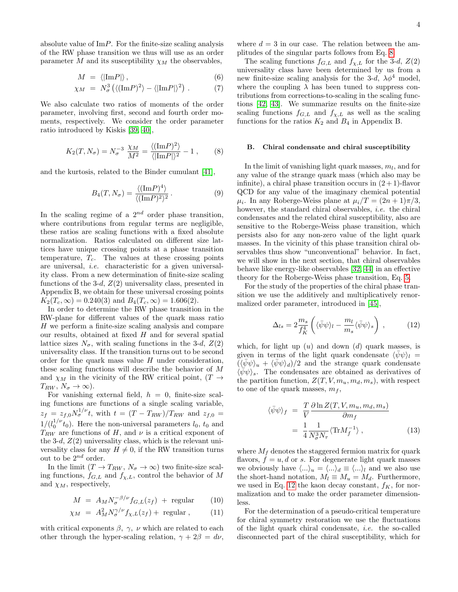absolute value of  $\text{Im}P$ . For the finite-size scaling analysis of the RW phase transition we thus will use as an order parameter M and its susceptibility  $\chi_M$  the observables,

<span id="page-3-3"></span>
$$
M = \langle |\text{Im} P| \rangle, \tag{6}
$$

$$
\chi_M = N_\sigma^3 \left( \langle (\text{Im} P)^2 \rangle - \langle |\text{Im} P| \rangle^2 \right) . \tag{7}
$$

We also calculate two ratios of moments of the order parameter, involving first, second and fourth order moments, respectively. We consider the order parameter ratio introduced by Kiskis [\[39,](#page-16-13) [40\]](#page-16-14),

<span id="page-3-0"></span>
$$
K_2(T, N_{\sigma}) = N_{\sigma}^{-3} \frac{\chi_M}{M^2} = \frac{\langle (\text{Im} P)^2 \rangle}{\langle |\text{Im} P| \rangle^2} - 1 , \qquad (8)
$$

and the kurtosis, related to the Binder cumulant [\[41\]](#page-16-15),

<span id="page-3-2"></span>
$$
B_4(T, N_{\sigma}) = \frac{\langle (\text{Im} P)^4 \rangle}{\langle (\text{Im} P)^2 \rangle^2}.
$$
 (9)

In the scaling regime of a  $2^{nd}$  order phase transition, where contributions from regular terms are negligible, these ratios are scaling functions with a fixed absolute normalization. Ratios calculated on different size lattices have unique crossing points at a phase transition temperature,  $T_c$ . The values at these crossing points are universal, i.e. characteristic for a given universality class. From a new determination of finite-size scaling functions of the 3-d,  $Z(2)$  universality class, presented in Appendix B, we obtain for these universal crossing points  $K_2(T_c, \infty) = 0.240(3)$  and  $B_4(T_c, \infty) = 1.606(2)$ .

In order to determine the RW phase transition in the RW-plane for different values of the quark mass ratio H we perform a finite-size scaling analysis and compare our results, obtained at fixed  $H$  and for several spatial lattice sizes  $N_{\sigma}$ , with scaling functions in the 3-d,  $Z(2)$ universality class. If the transition turns out to be second order for the quark mass value  $H$  under consideration. these scaling functions will describe the behavior of M and  $\chi_M$  in the vicinity of the RW critical point,  $(T \rightarrow$  $T_{RW}, N_{\sigma} \rightarrow \infty$ ).

For vanishing external field,  $h = 0$ , finite-size scaling functions are functions of a single scaling variable,  $z_f = z_{f,0} N_{\sigma}^{1/\nu} t$ , with  $t = (T - T_{RW})/T_{RW}$  and  $z_{f,0} =$  $1/(l_0^{1/\nu}t_0)$ . Here the non-universal parameters  $l_0$ ,  $t_0$  and  $T_{RW}$  are functions of H, and  $\nu$  is a critical exponent of the 3-d,  $Z(2)$  universality class, which is the relevant universality class for any  $H \neq 0$ , if the RW transition turns out to be  $2^{nd}$  order.

In the limit  $(T \to T_{RW}, N_{\sigma} \to \infty)$  two finite-size scaling functions,  $f_{G,L}$  and  $f_{\chi,L}$ , control the behavior of M and  $\chi_M$ , respectively,

<span id="page-3-4"></span>
$$
M = A_M N_{\sigma}^{-\beta/\nu} f_{G,L}(z_f) + \text{regular} \qquad (10)
$$

$$
\chi_M = A_M^2 N^{\gamma/\nu}_{\sigma} f_{\chi,L}(z_f) + \text{ regular }, \qquad (11)
$$

with critical exponents  $\beta$ ,  $\gamma$ ,  $\nu$  which are related to each other through the hyper-scaling relation,  $\gamma + 2\beta = d\nu$ ,

where  $d = 3$  in our case. The relation between the amplitudes of the singular parts follows from Eq. [8.](#page-3-0)

The scaling functions  $f_{G,L}$  and  $f_{\chi,L}$  for the 3-d,  $Z(2)$ universality class have been determined by us from a new finite-size scaling analysis for the 3-d,  $\lambda \phi^4$  model, where the coupling  $\lambda$  has been tuned to suppress contributions from corrections-to-scaling in the scaling functions [\[42,](#page-16-16) [43\]](#page-16-17). We summarize results on the finite-size scaling functions  $f_{G,L}$  and  $f_{\chi,L}$  as well as the scaling functions for the ratios  $K_2$  and  $B_4$  in Appendix B.

#### B. Chiral condensate and chiral susceptibility

In the limit of vanishing light quark masses,  $m_l$ , and for any value of the strange quark mass (which also may be infinite), a chiral phase transition occurs in  $(2+1)$ -flavor QCD for any value of the imaginary chemical potential  $\mu_i$ . In any Roberge-Weiss plane at  $\mu_i/T = (2n+1)\pi/3$ , however, the standard chiral observables, *i.e.* the chiral condensates and the related chiral susceptibility, also are sensitive to the Roberge-Weiss phase transition, which persists also for any non-zero value of the light quark masses. In the vicinity of this phase transition chiral observables thus show "unconventional" behavior. In fact, we will show in the next section, that chiral observables behave like energy-like observables [\[32,](#page-16-7) [44\]](#page-16-18) in an effective theory for the Roberge-Weiss phase transition, Eq. [5.](#page-2-2)

For the study of the properties of the chiral phase transition we use the additively and multiplicatively renormalized order parameter, introduced in [\[45\]](#page-16-19),

<span id="page-3-1"></span>
$$
\Delta_{ls} = 2 \frac{m_s}{f_K^4} \left( \langle \bar{\psi} \psi \rangle_l - \frac{m_l}{m_s} \langle \bar{\psi} \psi \rangle_s \right) , \qquad (12)
$$

which, for light up  $(u)$  and down  $(d)$  quark masses, is given in terms of the light quark condensate  $\langle \psi \psi \rangle_l =$  $(\langle \bar{\psi}\psi \rangle_u + \langle \bar{\psi}\psi \rangle_d)/2$  and the strange quark condensate  $\langle \psi \psi \rangle_s$ . The condensates are obtained as derivatives of the partition function,  $Z(T, V, m_u, m_d, m_s)$ , with respect to one of the quark masses,  $m_f$ ,

$$
\langle \bar{\psi}\psi \rangle_f = \frac{T}{V} \frac{\partial \ln Z(T, V, m_u, m_d, m_s)}{\partial m_f}
$$

$$
= \frac{1}{4} \frac{1}{N_\sigma^3 N_\tau} \langle \text{Tr} M_f^{-1} \rangle , \qquad (13)
$$

where  $M_f$  denotes the staggered fermion matrix for quark flavors,  $f = u, d$  or s. For degenerate light quark masses we obviously have  $\langle ... \rangle_u = \langle ... \rangle_d \equiv \langle ... \rangle_l$  and we also use the short-hand notation,  $M_l \equiv M_u = M_d$ . Furthermore, we used in Eq. [12](#page-3-1) the kaon decay constant,  $f_K$ , for normalization and to make the order parameter dimensionless.

For the determination of a pseudo-critical temperature for chiral symmetry restoration we use the fluctuations of the light quark chiral condensate, i.e. the so-called disconnected part of the chiral susceptibility, which for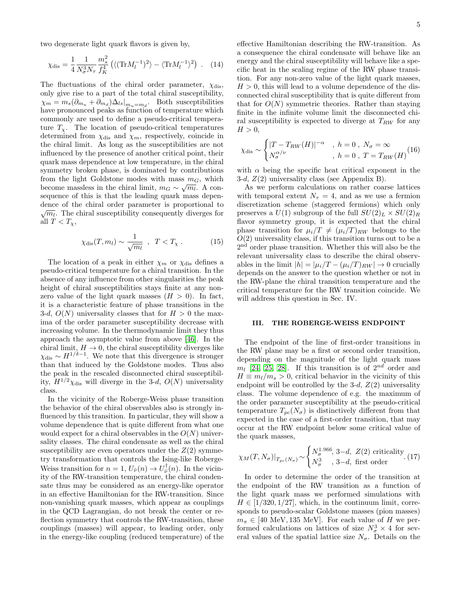two degenerate light quark flavors is given by,

$$
\chi_{\rm dis} = \frac{1}{4} \frac{1}{N_{\sigma}^3 N_{\tau}} \frac{m_s^2}{f_K^4} \left( \langle (\text{Tr} M_l^{-1})^2 \rangle - \langle \text{Tr} M_l^{-1} \rangle^2 \right) \ . \tag{14}
$$

The fluctuations of the chiral order parameter,  $\chi_{\text{dis}}$ , only give rise to a part of the total chiral susceptibility,  $\chi_m = m_s(\partial_{m_u} + \partial_{m_d})\Delta_{ls}|_{m_u=m_d}$ . Both susceptibilities have pronounced peaks as function of temperature which commonly are used to define a pseudo-critical temperature  $T_\chi$ . The location of pseudo-critical temperatures determined from  $\chi_{\text{dis}}$  and  $\chi_m$ , respectively, coincide in the chiral limit. As long as the susceptibilities are not influenced by the presence of another critical point, their quark mass dependence at low temperature, in the chiral symmetry broken phase, is dominated by contributions from the light Goldstone modes with mass  $m<sub>G</sub>$ , which become massless in the chiral limit,  $m_G \sim \sqrt{m_l}$ . A consequence of this is that the leading quark mass dependence of the chiral order parameter is proportional to dence of the chiral order parameter is proportional to  $\sqrt{m_l}$ . The chiral susceptibility consequently diverges for all  $T < T_{\chi}$ ,

$$
\chi_{\rm dis}(T,m_l) \sim \frac{1}{\sqrt{m_l}} \quad , \quad T < T_\chi \,. \tag{15}
$$

The location of a peak in either  $\chi_m$  or  $\chi_{\text{dis}}$  defines a pseudo-critical temperature for a chiral transition. In the absence of any influence from other singularities the peak height of chiral susceptibilities stays finite at any nonzero value of the light quark masses  $(H > 0)$ . In fact, it is a characteristic feature of phase transitions in the 3-d,  $O(N)$  universality classes that for  $H > 0$  the maxima of the order parameter susceptibility decrease with increasing volume. In the thermodynamic limit they thus approach the asymptotic value from above [\[46\]](#page-16-20). In the chiral limit,  $H \to 0$ , the chiral susceptibility diverges like  $\chi_{\text{dis}} \sim H^{1/\delta - 1}$ . We note that this divergence is stronger than that induced by the Goldstone modes. Thus also the peak in the rescaled disconnected chiral susceptibility,  $H^{1/2}\chi_{\text{dis}}$  will diverge in the 3-d,  $O(N)$  universality class.

In the vicinity of the Roberge-Weiss phase transition the behavior of the chiral observables also is strongly influenced by this transition. In particular, they will show a volume dependence that is quite different from what one would expect for a chiral observables in the  $O(N)$  universality classes. The chiral condensate as well as the chiral susceptibility are even operators under the  $Z(2)$  symmetry transformation that controls the Ising-like Roberge-Weiss transition for  $n = 1$ ,  $U_{\hat{\nu}}(n) \rightarrow U_{\hat{\nu}}^{\dagger}(n)$ . In the vicinity of the RW-transition temperature, the chiral condensate thus may be considered as an energy-like operator in an effective Hamiltonian for the RW-transition. Since non-vanishing quark masses, which appear as couplings in the QCD Lagrangian, do not break the center or reflection symmetry that controls the RW-transition, these couplings (masses) will appear, to leading order, only in the energy-like coupling (reduced temperature) of the

effective Hamiltonian describing the RW-transition. As a consequence the chiral condensate will behave like an energy and the chiral susceptibility will behave like a specific heat in the scaling regime of the RW phase transition. For any non-zero value of the light quark masses,  $H > 0$ , this will lead to a volume dependence of the disconnected chiral susceptibility that is quite different from that for  $O(N)$  symmetric theories. Rather than staying finite in the infinite volume limit the disconnected chiral susceptibility is expected to diverge at  $T_{RW}$  for any  $H > 0$ ,

<span id="page-4-0"></span>
$$
\chi_{\text{dis}} \sim \begin{cases} |T - T_{RW}(H)|^{-\alpha} , h = 0, N_{\sigma} = \infty \\ N_{\sigma}^{\alpha/\nu} , h = 0, T = T_{RW}(H) \end{cases}
$$
 (16)

with  $\alpha$  being the specific heat critical exponent in the 3-d,  $Z(2)$  universality class (see Appendix B).

As we perform calculations on rather coarse lattices with temporal extent  $N_{\tau} = 4$ , and as we use a fermion discretization scheme (staggered fermions) which only preserves a  $U(1)$  subgroup of the full  $SU(2)_L \times SU(2)_R$ flavor symmetry group, it is expected that the chiral phase transition for  $\mu_i/T \neq (\mu_i/T)_{RW}$  belongs to the  $O(2)$  universality class, if this transition turns out to be a 2<sup>nd</sup> order phase transition. Whether this will also be the relevant universality class to describe the chiral observables in the limit  $|h| = |\mu_i/T - (\mu_i/T)_{RW}| \rightarrow 0$  crucially depends on the answer to the question whether or not in the RW-plane the chiral transition temperature and the critical temperature for the RW transition coincide. We will address this question in Sec. IV.

### III. THE ROBERGE-WEISS ENDPOINT

The endpoint of the line of first-order transitions in the RW plane may be a first or second order transition, depending on the magnitude of the light quark mass  $m_l$  [\[24,](#page-15-17) [25,](#page-16-0) [28\]](#page-16-3). If this transition is of  $2^{nd}$  order and  $H \equiv m_l/m_s > 0$ , critical behavior in the vicinity of this endpoint will be controlled by the 3-d,  $Z(2)$  universality class. The volume dependence of e.g. the maximum of the order parameter susceptibility at the pseudo-critical temperature  $T_{pc}(N_{\sigma})$  is distinctively different from that expected in the case of a first-order transition, that may occur at the RW endpoint below some critical value of the quark masses,

$$
\chi_M(T, N_{\sigma})|_{T_{pc}(N_{\sigma})} \sim\n \begin{cases}\n N_{\sigma}^{1.966}, \, 3-d, \, Z(2) \text{ criticality} \\
 N_{\sigma}^3, \, 3-d, \text{ first order}\n \end{cases}\n \tag{17}
$$

In order to determine the order of the transition at the endpoint of the RW transition as a function of the light quark mass we performed simulations with  $H \in [1/320, 1/27]$ , which, in the continuum limit, corresponds to pseudo-scalar Goldstone masses (pion masses)  $m_{\pi} \in [40 \text{ MeV}, 135 \text{ MeV}]$ . For each value of H we performed calculations on lattices of size  $N_{\sigma}^3 \times 4$  for several values of the spatial lattice size  $N_{\sigma}$ . Details on the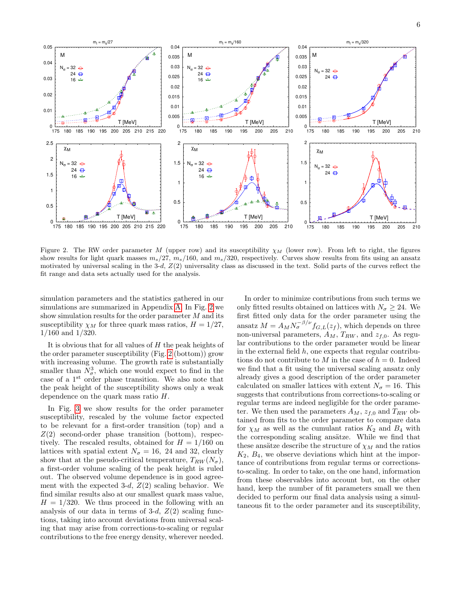

<span id="page-5-0"></span>Figure 2. The RW order parameter M (upper row) and its susceptibility  $\chi_M$  (lower row). From left to right, the figures show results for light quark masses  $m_s/27$ ,  $m_s/160$ , and  $m_s/320$ , respectively. Curves show results from fits using an ansatz motivated by universal scaling in the 3-d,  $Z(2)$  universality class as discussed in the text. Solid parts of the curves reflect the fit range and data sets actually used for the analysis.

simulation parameters and the statistics gathered in our simulations are summarized in Appendix [A.](#page-11-0) In Fig. [2](#page-5-0) we show simulation results for the order parameter M and its susceptibility  $\chi_M$  for three quark mass ratios,  $H = 1/27$ , 1/160 and 1/320.

It is obvious that for all values of  $H$  the peak heights of the order parameter susceptibility (Fig. [2](#page-5-0) (bottom)) grow with increasing volume. The growth rate is substantially smaller than  $N^3_\sigma$ , which one would expect to find in the case of a 1st order phase transition. We also note that the peak height of the susceptibility shows only a weak dependence on the quark mass ratio H.

In Fig. [3](#page-6-0) we show results for the order parameter susceptibility, rescaled by the volume factor expected to be relevant for a first-order transition (top) and a  $Z(2)$  second-order phase transition (bottom), respectively. The rescaled results, obtained for  $H = 1/160$  on lattices with spatial extent  $N_{\sigma} = 16$ , 24 and 32, clearly show that at the pseudo-critical temperature,  $T_{RW}(N_{\sigma})$ , a first-order volume scaling of the peak height is ruled out. The observed volume dependence is in good agreement with the expected 3-d,  $Z(2)$  scaling behavior. We find similar results also at our smallest quark mass value,  $H = 1/320$ . We thus proceed in the following with an analysis of our data in terms of 3-d,  $Z(2)$  scaling functions, taking into account deviations from universal scaling that may arise from corrections-to-scaling or regular contributions to the free energy density, wherever needed.

In order to minimize contributions from such terms we only fitted results obtained on lattices with  $N_{\sigma} \geq 24$ . We first fitted only data for the order parameter using the ansatz  $M = A_M N_{\sigma}^{-\beta/\nu} f_{G,L}(z_f)$ , which depends on three non-universal parameters,  $A_M$ ,  $T_{RW}$ , and  $z_{f,0}$ . As regular contributions to the order parameter would be linear in the external field  $h$ , one expects that regular contributions do not contribute to M in the case of  $h = 0$ . Indeed we find that a fit using the universal scaling ansatz only already gives a good description of the order parameter calculated on smaller lattices with extent  $N_{\sigma} = 16$ . This suggests that contributions from corrections-to-scaling or regular terms are indeed negligible for the order parameter. We then used the parameters  $A_M$ ,  $z_{f,0}$  and  $T_{RW}$  obtained from fits to the order parameter to compare data for  $\chi_M$  as well as the cumulant ratios  $K_2$  and  $B_4$  with the corresponding scaling ansätze. While we find that these ansätze describe the structure of  $\chi_M$  and the ratios  $K_2, B_4$ , we observe deviations which hint at the importance of contributions from regular terms or correctionsto-scaling. In order to take, on the one hand, information from these observables into account but, on the other hand, keep the number of fit parameters small we then decided to perform our final data analysis using a simultaneous fit to the order parameter and its susceptibility,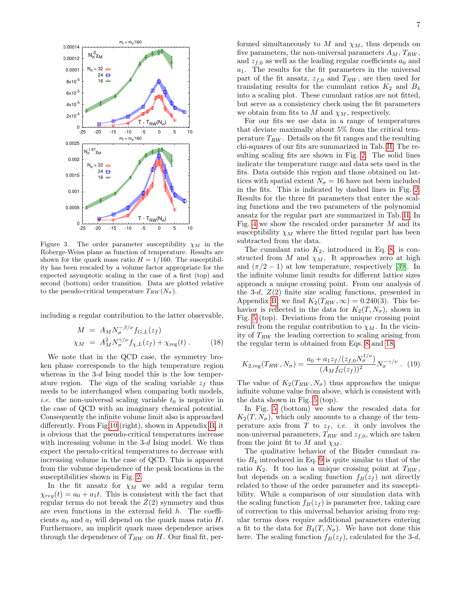

<span id="page-6-0"></span>Figure 3. The order parameter susceptibility  $\chi_M$  in the Roberge-Weiss plane as function of temperature. Results are shown for the quark mass ratio  $H = 1/160$ . The susceptibility has been rescaled by a volume factor appropriate for the expected asymptotic scaling in the case of a first (top) and second (bottom) order transition. Data are plotted relative to the pseudo-critical temperature  $T_{RW}(N_{\sigma}).$ 

including a regular contribution to the latter observable,

<span id="page-6-1"></span>
$$
M = A_M N_{\sigma}^{-\beta/\nu} f_{G,L}(z_f)
$$
  
\n
$$
\chi_M = A_M^2 N_{\sigma}^{\gamma/\nu} f_{\chi,L}(z_f) + \chi_{\text{reg}}(t).
$$
 (18)

We note that in the QCD case, the symmetry broken phase corresponds to the high temperature region whereas in the  $3-d$  Ising model this is the low temperature region. The sign of the scaling variable  $z_f$  thus needs to be interchanged when comparing both models, *i.e.* the non-universal scaling variable  $t_0$  is negative in the case of QCD with an imaginary chemical potential. Consequently the infinite volume limit also is approached differently. From Fig[.10](#page-13-0) (right), shown in Appendix [B,](#page-11-1) it is obvious that the pseudo-critical temperatures increase with increasing volume in the  $3-d$  Ising model. We thus expect the pseudo-critical temperatures to decrease with increasing volume in the case of QCD. This is apparent from the volume dependence of the peak locations in the susceptibilities shown in Fig. [2.](#page-5-0)

In the fit ansatz for  $\chi_M$  we add a regular term  $\chi_{req}(t) = a_0 + a_1t$ . This is consistent with the fact that regular terms do not break the  $Z(2)$  symmetry and thus are even functions in the external field  $h$ . The coefficients  $a_0$  and  $a_1$  will depend on the quark mass ratio H. Furthermore, an implicit quark mass dependence arises through the dependence of  $T_{RW}$  on H. Our final fit, per-

formed simultaneously to M and  $\chi_M$ , thus depends on five parameters, the non-universal parameters  $A_M$ ,  $T_{RW}$ , and  $z_{f,0}$  as well as the leading regular coefficients  $a_0$  and  $a_1$ . The results for the fit parameters in the universal part of the fit ansatz,  $z_{f,0}$  and  $T_{RW}$ , are then used for translating results for the cumulant ratios  $K_2$  and  $B_4$ into a scaling plot. These cumulant ratios are not fitted, but serve as a consistency check using the fit parameters we obtain from fits to  $M$  and  $\chi_M$ , respectively.

For our fits we use data in a range of temperatures that deviate maximally about 5% from the critical temperature  $T_{RW}$ . Details on the fit ranges and the resulting chi-squares of our fits are summarized in Tab. [II.](#page-7-0) The resulting scaling fits are shown in Fig. [2.](#page-5-0) The solid lines indicate the temperature range and data sets used in the fits. Data outside this region and those obtained on lattices with spatial extent  $N_{\sigma} = 16$  have not been included in the fits. This is indicated by dashed lines in Fig. [2.](#page-5-0) Results for the three fit parameters that enter the scaling functions and the two parameters of the polynomial ansatz for the regular part are summarized in Tab. [II.](#page-7-0) In Fig. [4](#page-7-1) we show the rescaled order parameter M and its susceptibility  $\chi_M$  where the fitted regular part has been subtracted from the data.

The cumulant ratio  $K_2$ , introduced in Eq. [8,](#page-3-0) is constructed from M and  $\chi_M$ . It approaches zero at high and  $(\pi/2 - 1)$  at low temperature, respectively [\[39\]](#page-16-13). In the infinite volume limit results for different lattice sizes approach a unique crossing point. From our analysis of the 3-d,  $Z(2)$  finite size scaling functions, presented in Appendix [B,](#page-11-1) we find  $K_2(T_{RW}, \infty) = 0.240(3)$ . This behavior is reflected in the data for  $K_2(T, N_{\sigma})$ , shown in Fig. [5](#page-8-0) (top). Deviations from the unique crossing point result from the regular contribution to  $\chi_M$ . In the vicinity of  $T_{RW}$  the leading correction to scaling arising from the regular term is obtained from Eqs. [8](#page-3-0) and [18,](#page-6-1)

$$
K_{2,\text{reg}}(T_{RW}, N_{\sigma}) = \frac{a_0 + a_1 z_f/(z_{f,0} N_{\sigma}^{1/\nu})}{(A_M f_G(z_f))^2} N_{\sigma}^{-\gamma/\nu} . \tag{19}
$$

The value of  $K_2(T_{RW}, N_{\sigma})$  thus approaches the unique infinite volume value from above, which is consistent with the data shown in Fig. [5](#page-8-0) (top).

In Fig. [5](#page-8-0) (bottom) we show the rescaled data for  $K_2(T, N_{\sigma})$ , which only amounts to a change of the temperature axis from T to  $z_f$ , *i.e.* it only involves the non-universal parameters,  $T_{RW}$  and  $z_{f,0}$ , which are taken from the joint fit to M and  $\chi_M$ .

The qualitative behavior of the Binder cumulant ratio  $B_4$  introduced in Eq. [9](#page-3-2) is quite similar to that of the ratio  $K_2$ . It too has a unique crossing point at  $T_{RW}$ , but depends on a scaling function  $f_B(z_f)$  not directly related to those of the order parameter and its susceptibility. While a comparison of our simulation data with the scaling function  $f_B(z_f)$  is parameter free, taking care of correction to this universal behavior arising from regular terms does require additional parameters entering a fit to the data for  $B_4(T, N_{\sigma})$ . We have not done this here. The scaling function  $f_B(z_f)$ , calculated for the 3-d,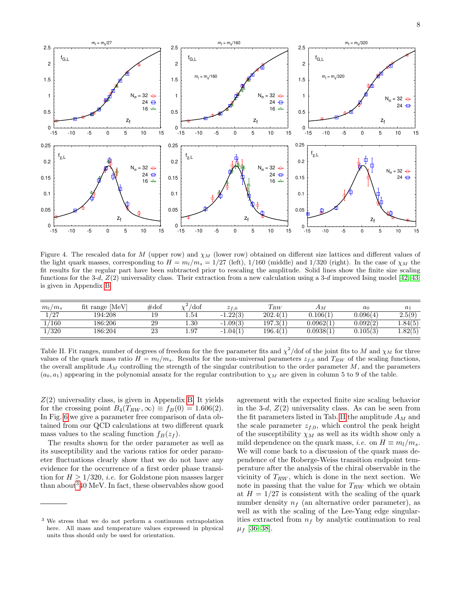

<span id="page-7-1"></span>Figure 4. The rescaled data for M (upper row) and  $\chi_M$  (lower row) obtained on different size lattices and different values of the light quark masses, corresponding to  $H = m_l/m_s = 1/27$  (left), 1/160 (middle) and 1/320 (right). In the case of  $\chi_M$  the fit results for the regular part have been subtracted prior to rescaling the amplitude. Solid lines show the finite size scaling functions for the 3-d,  $Z(2)$  universality class. Their extraction from a new calculation using a 3-d improved Ising model [\[42,](#page-16-16) [43\]](#page-16-17) is given in Appendix [B.](#page-11-1)

| $m_l/m_s$       | fit range [MeV] | $\#\text{dof}$ | /dof      | $z_{f,0}$  | $T_{RW}$ | Αм        | $a_0$    | $a_1$   |
|-----------------|-----------------|----------------|-----------|------------|----------|-----------|----------|---------|
| 197<br>$\sim$ 1 | 194:208         | 19             | $_{1.54}$ | $-1.22(3)$ | 202.4(1) | 0.106(1   | 0.096(4) | 2.5(9)  |
| 1/160           | 186:206         | 29             | $_{1.30}$ | $-1.09(3)$ | 197.3(1) | 0.0962(1) | 0.092(2) | 4.84(5) |
| 1/320           | 186:204         | 23             | 1.97      | $-1.04(1)$ | 196.4(1) | 0.0938(1) | 0.105(3) | 4.82(5) |

<span id="page-7-0"></span>Table II. Fit ranges, number of degrees of freedom for the five parameter fits and  $\chi^2$ /dof of the joint fits to M and  $\chi_M$  for three values of the quark mass ratio  $H = m_l/m_s$ . Results for the non-universal parameters  $z_{f,0}$  and  $T_{RW}$  of the scaling functions, the overall amplitude  $A_M$  controlling the strength of the singular contribution to the order parameter  $M$ , and the parameters  $(a_0, a_1)$  appearing in the polynomial ansatz for the regular contribution to  $\chi_M$  are given in column 5 to 9 of the table.

 $Z(2)$  universality class, is given in Appendix [B.](#page-11-1) It yields for the crossing point  $B_4(T_{RW}, \infty) \equiv f_B(0) = 1.606(2)$ . In Fig. [6](#page-8-1) we give a parameter free comparison of data obtained from our QCD calculations at two different quark mass values to the scaling function  $f_B(z_f)$ .

The results shown for the order parameter as well as its susceptibility and the various ratios for order parameter fluctuations clearly show that we do not have any evidence for the occurrence of a first order phase transition for  $H \geq 1/320$ , *i.e.* for Goldstone pion masses larger than about  $340 \text{ MeV}$  $340 \text{ MeV}$ . In fact, these observables show good agreement with the expected finite size scaling behavior in the 3-d,  $Z(2)$  universality class. As can be seen from the fit parameters listed in Tab. [II](#page-7-0) the amplitude  $A_M$  and the scale parameter  $z_{f,0}$ , which control the peak height of the susceptibility  $\chi_M$  as well as its width show only a mild dependence on the quark mass, *i.e.* on  $H \equiv m_l/m_s$ . We will come back to a discussion of the quark mass dependence of the Roberge-Weiss transition endpoint temperature after the analysis of the chiral observable in the vicinity of  $T_{RW}$ , which is done in the next section. We note in passing that the value for  $T_{RW}$  which we obtain at  $H = 1/27$  is consistent with the scaling of the quark number density  $n_f$  (an alternative order parameter), as well as with the scaling of the Lee-Yang edge singularities extracted from  $n_f$  by analytic continuation to real  $\mu_f$  [\[36](#page-16-11)[–38\]](#page-16-12).

<span id="page-7-2"></span><sup>3</sup> We stress that we do not perform a continuum extrapolation here. All mass and temperature values expressed in physical units thus should only be used for orientation.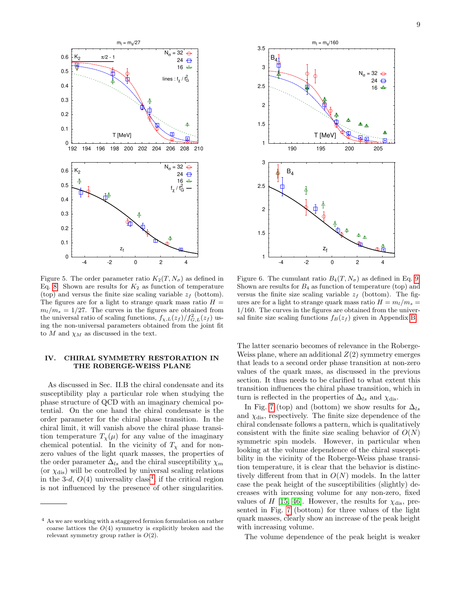

<span id="page-8-0"></span>Figure 5. The order parameter ratio  $K_2(T, N_\sigma)$  as defined in Eq. [8.](#page-3-0) Shown are results for  $K_2$  as function of temperature (top) and versus the finite size scaling variable  $z_f$  (bottom). The figures are for a light to strange quark mass ratio  $H =$  $m_l/m_s = 1/27$ . The curves in the figures are obtained from the universal ratio of scaling functions,  $f_{\chi,L}(z_f)/f_{G,L}^2(z_f)$  using the non-universal parameters obtained from the joint fit to M and  $\chi_M$  as discussed in the text.

# IV. CHIRAL SYMMETRY RESTORATION IN THE ROBERGE-WEISS PLANE

As discussed in Sec. II.B the chiral condensate and its susceptibility play a particular role when studying the phase structure of QCD with an imaginary chemical potential. On the one hand the chiral condensate is the order parameter for the chiral phase transition. In the chiral limit, it will vanish above the chiral phase transition temperature  $T_{\chi}(\mu)$  for any value of the imaginary chemical potential. In the vicinity of  $T_\chi$  and for nonzero values of the light quark masses, the properties of the order parameter  $\Delta_{ls}$  and the chiral susceptibility  $\chi_m$ (or  $\chi_{\text{dis}}$ ) will be controlled by universal scaling relations in the 3-d,  $O(4)$  $O(4)$  $O(4)$  universality class<sup>4</sup>, if the critical region is not influenced by the presence of other singularities.



<span id="page-8-1"></span>Figure 6. The cumulant ratio  $B_4(T, N_\sigma)$  as defined in Eq. [9.](#page-3-2) Shown are results for  $B_4$  as function of temperature (top) and versus the finite size scaling variable  $z_f$  (bottom). The figures are for a light to strange quark mass ratio  $H = m_l/m_s =$ 1/160. The curves in the figures are obtained from the universal finite size scaling functions  $f_B(z_f)$  given in Appendix [B.](#page-11-1)

The latter scenario becomes of relevance in the Roberge-Weiss plane, where an additional  $Z(2)$  symmetry emerges that leads to a second order phase transition at non-zero values of the quark mass, as discussed in the previous section. It thus needs to be clarified to what extent this transition influences the chiral phase transition, which in turn is reflected in the properties of  $\Delta_{ls}$  and  $\chi_{dis}$ .

In Fig. [7](#page-9-0) (top) and (bottom) we show results for  $\Delta_{ls}$ and  $\chi_{\text{dis}}$ , respectively. The finite size dependence of the chiral condensate follows a pattern, which is qualitatively consistent with the finite size scaling behavior of  $O(N)$ symmetric spin models. However, in particular when looking at the volume dependence of the chiral susceptibility in the vicinity of the Roberge-Weiss phase transition temperature, it is clear that the behavior is distinctively different from that in  $O(N)$  models. In the latter case the peak height of the susceptibilities (slightly) decreases with increasing volume for any non-zero, fixed values of H [\[15,](#page-15-19) [46\]](#page-16-20). However, the results for  $\chi_{\text{dis}}$ , presented in Fig. [7](#page-9-0) (bottom) for three values of the light quark masses, clearly show an increase of the peak height with increasing volume.

The volume dependence of the peak height is weaker

<span id="page-8-2"></span><sup>4</sup> As we are working with a staggered fermion formulation on rather coarse lattices the  $O(4)$  symmetry is explicitly broken and the relevant symmetry group rather is  $O(2)$ .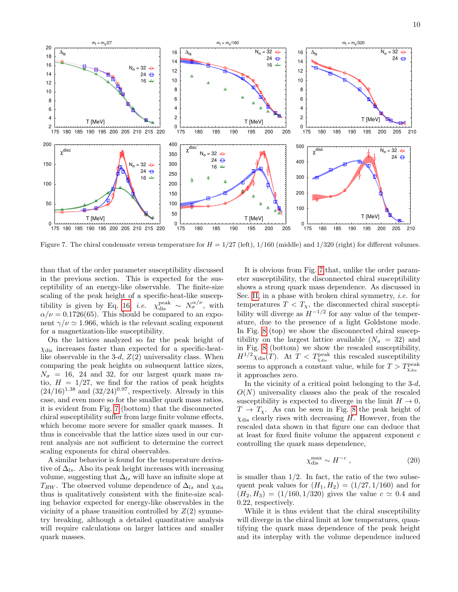

<span id="page-9-0"></span>Figure 7. The chiral condensate versus temperature for  $H = 1/27$  (left),  $1/160$  (middle) and  $1/320$  (right) for different volumes.

than that of the order parameter susceptibility discussed in the previous section. This is expected for the susceptibility of an energy-like observable. The finite-size scaling of the peak height of a specific-heat-like suscep-tibility is given by Eq. [16,](#page-4-0) *i.e.*  $\chi_{\text{dis}}^{\text{peak}} \sim N_{\sigma}^{\alpha/\nu}$ , with  $\alpha/\nu = 0.1726(65)$ . This should be compared to an exponent  $\gamma/\nu \simeq 1.966$ , which is the relevant scaling exponent for a magnetization-like susceptibility.

On the lattices analyzed so far the peak height of  $\chi_{\text{dis}}$  increases faster than expected for a specific-heatlike observable in the 3-d,  $Z(2)$  universality class. When comparing the peak heights on subsequent lattice sizes,  $N_{\sigma}$  = 16, 24 and 32, for our largest quark mass ratio,  $H = 1/27$ , we find for the ratios of peak heights  $(24/16)^{1.38}$  and  $(32/24)^{0.97}$ , respectively. Already in this case, and even more so for the smaller quark mass ratios, it is evident from Fig. [7](#page-9-0) (bottom) that the disconnected chiral susceptibility suffer from large finite volume effects, which become more severe for smaller quark masses. It thus is conceivable that the lattice sizes used in our current analysis are not sufficient to determine the correct scaling exponents for chiral observables.

A similar behavior is found for the temperature derivative of  $\Delta_{ls}$ . Also its peak height increases with increasing volume, suggesting that  $\Delta_{ls}$  will have an infinite slope at  $T_{RW}$ . The observed volume dependence of  $\Delta_{ls}$  and  $\chi_{dis}$ thus is qualitatively consistent with the finite-size scaling behavior expected for energy-like observables in the vicinity of a phase transition controlled by  $Z(2)$  symmetry breaking, although a detailed quantitative analysis will require calculations on larger lattices and smaller quark masses.

It is obvious from Fig. [7](#page-9-0) that, unlike the order parameter susceptibility, the disconnected chiral susceptibility shows a strong quark mass dependence. As discussed in Sec. [II,](#page-1-1) in a phase with broken chiral symmetry, i.e. for temperatures  $T < T_{\chi}$ , the disconnected chiral susceptibility will diverge as  $H^{-1/2}$  for any value of the temperature, due to the presence of a light Goldstone mode. In Fig. [8](#page-10-0) (top) we show the disconnected chiral susceptibility on the largest lattice available  $(N_{\sigma} = 32)$  and in Fig. [8](#page-10-0) (bottom) we show the rescaled susceptibility,  $H^{1/2}\chi_{\text{dis}}(T)$ . At  $T < T_{\chi_{\text{dis}}^{\text{peak}}}$  this rescaled susceptibility seems to approach a constant value, while for  $T>T^{\text{peak}}_{\chi_{\text{dis}}}$ it approaches zero.

In the vicinity of a critical point belonging to the  $3-d$ ,  $O(N)$  universality classes also the peak of the rescaled susceptibility is expected to diverge in the limit  $H \to 0$ ,  $T \to T_{\chi}$ . As can be seen in Fig. [8](#page-10-0) the peak height of  $\chi_{\text{dis}}$  clearly rises with decreasing H. However, from the rescaled data shown in that figure one can deduce that at least for fixed finite volume the apparent exponent c controlling the quark mass dependence,

$$
\chi_{\rm dis}^{\rm max} \sim H^{-c} \,,\tag{20}
$$

is smaller than  $1/2$ . In fact, the ratio of the two subsequent peak values for  $(H_1, H_2) = (1/27, 1/160)$  and for  $(H_2, H_3) = (1/160, 1/320)$  gives the value  $c \simeq 0.4$  and 0.22, respectively.

While it is thus evident that the chiral susceptibility will diverge in the chiral limit at low temperatures, quantifying the quark mass dependence of the peak height and its interplay with the volume dependence induced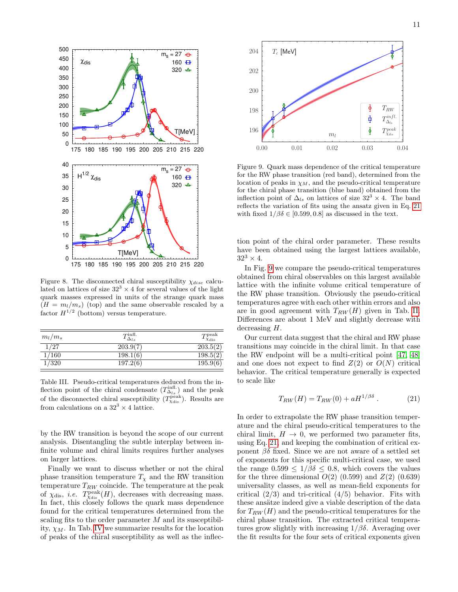

<span id="page-10-0"></span>Figure 8. The disconnected chiral susceptibility  $\chi_{disc}$  calculated on lattices of size  $32<sup>3</sup> \times 4$  for several values of the light quark masses expressed in units of the strange quark mass  $(H = m_l/m_s)$  (top) and the same observable rescaled by a factor  $H^{1/2}$  (bottom) versus temperature.

| $m_l/m_s$ | $T_{\Delta_{ls}}^{\rm infl.}$ | $T_{\chi_{\rm dis}}^{\rm peak}$ |
|-----------|-------------------------------|---------------------------------|
| 1/27      | 203.9(7)                      | 203.5(2)                        |
| 1/160     | 198.1(6)                      | 198.5(2)                        |
| 1/320     | 197.2(6)                      | 195.9(6)                        |

<span id="page-10-1"></span>Table III. Pseudo-critical temperatures deduced from the inflection point of the chiral condensate  $(T^{\text{infl.}}_{\Delta_{ls}})$  and the peak of the disconnected chiral susceptibility  $(T_{\chi_{\text{dis}}}^{\text{peak}})$ . Results are from calculations on a  $32^3 \times 4$  lattice.

by the RW transition is beyond the scope of our current analysis. Disentangling the subtle interplay between infinite volume and chiral limits requires further analyses on larger lattices.

Finally we want to discuss whether or not the chiral phase transition temperature  $T_{\chi}$  and the RW transition temperature  $T_{RW}$  coincide. The temperature at the peak of  $\chi_{\text{dis}}$ , *i.e.*  $T_{\chi_{\text{dis}}}(H)$ , decreases with decreasing mass. In fact, this closely follows the quark mass dependence found for the critical temperatures determined from the scaling fits to the order parameter M and its susceptibility,  $\chi_M$ . In Tab. [IV](#page-10-1) we summarize results for the location of peaks of the chiral susceptibility as well as the inflec-



<span id="page-10-3"></span>Figure 9. Quark mass dependence of the critical temperature for the RW phase transition (red band), determined from the location of peaks in  $\chi_M$ , and the pseudo-critical temperature for the chiral phase transition (blue band) obtained from the inflection point of  $\Delta_{ls}$  on lattices of size  $32^3 \times 4$ . The band reflects the variation of fits using the ansatz given in Eq. [21](#page-10-2) with fixed  $1/\beta\delta \in [0.599, 0.8]$  as discussed in the text.

tion point of the chiral order parameter. These results have been obtained using the largest lattices available,  $32^3 \times 4$ .

In Fig. [9](#page-10-3) we compare the pseudo-critical temperatures obtained from chiral observables on this largest available lattice with the infinite volume critical temperature of the RW phase transition. Obviously the pseudo-critical temperatures agree with each other within errors and also are in good agreement with  $T_{RW}(H)$  given in Tab. [II.](#page-7-0) Differences are about 1 MeV and slightly decrease with decreasing H.

Our current data suggest that the chiral and RW phase transitions may coincide in the chiral limit. In that case the RW endpoint will be a multi-critical point [\[47,](#page-16-21) [48\]](#page-16-22) and one does not expect to find  $Z(2)$  or  $O(N)$  critical behavior. The critical temperature generally is expected to scale like

<span id="page-10-2"></span>
$$
T_{RW}(H) = T_{RW}(0) + aH^{1/\beta\delta} \,. \tag{21}
$$

In order to extrapolate the RW phase transition temperature and the chiral pseudo-critical temperatures to the chiral limit,  $H \to 0$ , we performed two parameter fits, using Eq. [21,](#page-10-2) and keeping the combination of critical exponent  $\beta\delta$  fixed. Since we are not aware of a settled set of exponents for this specific multi-critical case, we used the range  $0.599 \le 1/\beta\delta \le 0.8$ , which covers the values for the three dimensional  $O(2)$   $(0.599)$  and  $Z(2)$   $(0.639)$ universality classes, as well as mean-field exponents for critical  $(2/3)$  and tri-critical  $(4/5)$  behavior. Fits with these ansätze indeed give a viable description of the data for  $T_{RW}(H)$  and the pseudo-critical temperatures for the chiral phase transition. The extracted critical temperatures grow slightly with increasing  $1/\beta\delta$ . Averaging over the fit results for the four sets of critical exponents given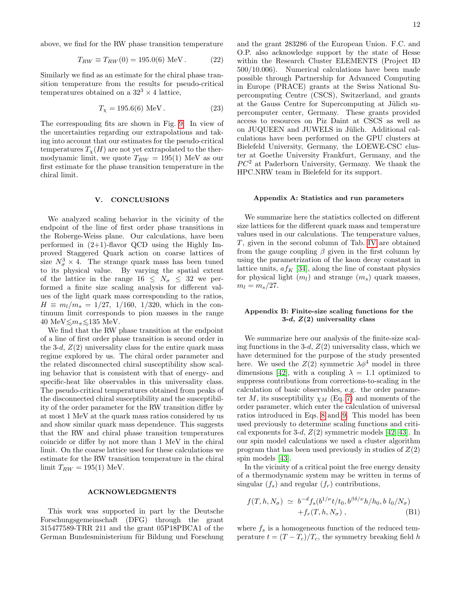above, we find for the RW phase transition temperature

$$
T_{RW} \equiv T_{RW}(0) = 195.0(6) \text{ MeV}. \qquad (22)
$$

Similarly we find as an estimate for the chiral phase transition temperature from the results for pseudo-critical temperatures obtained on a  $32^3 \times 4$  lattice,

$$
T_{\chi} = 195.6(6) \text{ MeV}. \tag{23}
$$

The corresponding fits are shown in Fig. [9.](#page-10-3) In view of the uncertainties regarding our extrapolations and taking into account that our estimates for the pseudo-critical temperatures  $T_{\chi}(H)$  are not yet extrapolated to the thermodynamic limit, we quote  $T_{RW} = 195(1)$  MeV as our first estimate for the phase transition temperature in the chiral limit.

#### V. CONCLUSIONS

We analyzed scaling behavior in the vicinity of the endpoint of the line of first order phase transitions in the Roberge-Weiss plane. Our calculations, have been performed in  $(2+1)$ -flavor QCD using the Highly Improved Staggered Quark action on coarse lattices of size  $N_{\sigma}^3 \times 4$ . The strange quark mass has been tuned to its physical value. By varying the spatial extent of the lattice in the range  $16 \leq N_{\sigma} \leq 32$  we performed a finite size scaling analysis for different values of the light quark mass corresponding to the ratios,  $H \equiv m_l/m_s = 1/27, 1/160, 1/320$ , which in the continuum limit corresponds to pion masses in the range 40 MeV $\leq m_{\pi} \leq 135$  MeV.

We find that the RW phase transition at the endpoint of a line of first order phase transition is second order in the 3-d,  $Z(2)$  universality class for the entire quark mass regime explored by us. The chiral order parameter and the related disconnected chiral susceptibility show scaling behavior that is consistent with that of energy- and specific-heat like observables in this universality class. The pseudo-critical temperatures obtained from peaks of the disconnected chiral susceptibility and the susceptibility of the order parameter for the RW transition differ by at most 1 MeV at the quark mass ratios considered by us and show similar quark mass dependence. This suggests that the RW and chiral phase transition temperatures coincide or differ by not more than 1 MeV in the chiral limit. On the coarse lattice used for these calculations we estimate for the RW transition temperature in the chiral limit  $T_{RW} = 195(1)$  MeV.

### ACKNOWLEDGMENTS

This work was supported in part by the Deutsche Forschungsgemeinschaft (DFG) through the grant 315477589-TRR 211 and the grant 05P18PBCA1 of the German Bundesministerium für Bildung und Forschung

and the grant 283286 of the European Union. F.C. and O.P. also acknowledge support by the state of Hesse within the Research Cluster ELEMENTS (Project ID 500/10.006). Numerical calculations have been made possible through Partnership for Advanced Computing in Europe (PRACE) grants at the Swiss National Supercomputing Centre (CSCS), Switzerland, and grants at the Gauss Centre for Supercomputing at Jülich supercomputer center, Germany. These grants provided access to resources on Piz Daint at CSCS as well as on JUQUEEN and JUWELS in Jülich. Additional calculations have been performed on the GPU clusters at Bielefeld University, Germany, the LOEWE-CSC cluster at Goethe University Frankfurt, Germany, and the  $PC<sup>2</sup>$  at Paderborn University, Germany. We thank the HPC.NRW team in Bielefeld for its support.

#### <span id="page-11-0"></span>Appendix A: Statistics and run parameters

We summarize here the statistics collected on different size lattices for the different quark mass and temperature values used in our calculations. The temperature values, T, given in the second column of Tab. [IV](#page-12-0) are obtained from the gauge coupling  $\beta$  given in the first column by using the parametrization of the kaon decay constant in lattice units,  $af_K$  [\[34\]](#page-16-9), along the line of constant physics for physical light  $(m_l)$  and strange  $(m_s)$  quark masses,  $m_l = m_s/27$ .

### <span id="page-11-1"></span>Appendix B: Finite-size scaling functions for the 3-d,  $Z(2)$  universality class

We summarize here our analysis of the finite-size scaling functions in the 3-d,  $Z(2)$  universality class, which we have determined for the purpose of the study presented here. We used the  $Z(2)$  symmetric  $\lambda \phi^4$  model in three dimensions [\[42\]](#page-16-16), with a coupling  $\lambda = 1.1$  optimized to suppress contributions from corrections-to-scaling in the calculation of basic observables, e.g. the order parameter M, its susceptibility  $\chi_M$  (Eq. [7\)](#page-3-3) and moments of the order parameter, which enter the calculation of universal ratios introduced in Eqs. [8](#page-3-0) and [9.](#page-3-2) This model has been used previously to determine scaling functions and critical exponents for 3-d,  $Z(2)$  symmetric models [\[42,](#page-16-16) [43\]](#page-16-17). In our spin model calculations we used a cluster algorithm program that has been used previously in studies of  $Z(2)$ spin models [\[43\]](#page-16-17).

In the vicinity of a critical point the free energy density of a thermodynamic system may be written in terms of singular  $(f_s)$  and regular  $(f_r)$  contributions,

$$
f(T, h, N_{\sigma}) \simeq b^{-d} f_s(b^{1/\nu} t/t_0, b^{\beta\delta/\nu} h/h_0, b l_0/N_{\sigma})
$$
  
+ $f_r(T, h, N_{\sigma}),$  (B1)

where  $f_s$  is a homogeneous function of the reduced temperature  $t = (T - T_c)/T_c$ , the symmetry breaking field h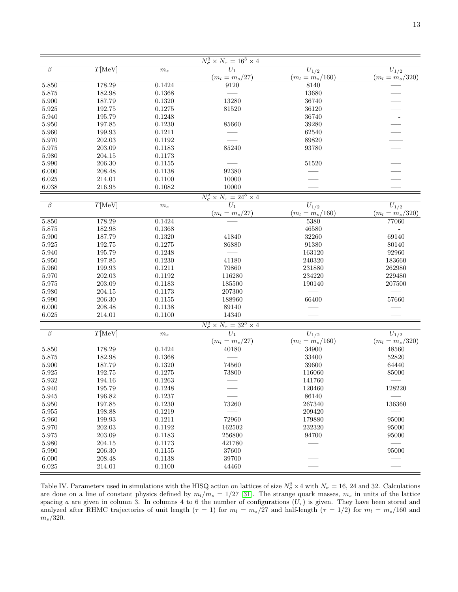| $\beta$            | T[MeV]          | $\boldsymbol{m}_s$ | $\frac{N_\sigma^3 \times N_\tau = 16^3 \times 4}{U_1}$     | $\overline{U_1}_{/2}$ | $\overline{U_{1/2}}$     |
|--------------------|-----------------|--------------------|------------------------------------------------------------|-----------------------|--------------------------|
|                    |                 |                    | $(m_l = m_s/27)$                                           | $(m_l = m_s/160)$     | $(m_l = m_s/320)$        |
| 5.850              | 178.29          | 0.1424             | 9120                                                       | 8140                  |                          |
| $5.875\,$          | 182.98          | 0.1368             |                                                            | 13680                 |                          |
| 5.900              | 187.79          | 0.1320             | 13280                                                      | 36740                 |                          |
| $5.925\,$          | 192.75          | 0.1275             | 81520                                                      | 36120                 |                          |
| 5.940              | 195.79          | 0.1248             |                                                            | 36740                 |                          |
| $5.950\,$          | 197.85          | 0.1230             | 85660                                                      | 39280                 |                          |
| 5.960              | 199.93          | 0.1211             |                                                            | 62540                 |                          |
| 5.970              | 202.03          | 0.1192             |                                                            | 89820                 |                          |
| $5.975\,$          | 203.09          | 0.1183             | 85240                                                      | 93780                 |                          |
| 5.980              | 204.15          | 0.1173             |                                                            |                       | $\overline{\phantom{0}}$ |
| 5.990              | 206.30          | 0.1155             |                                                            | 51520                 |                          |
| 6.000              | 208.48          | 0.1138             | 92380                                                      |                       |                          |
| $6.025\,$          | 214.01          | 0.1100             | 10000                                                      |                       |                          |
| 6.038              | 216.95          | 0.1082             | 10000                                                      |                       |                          |
|                    |                 |                    |                                                            |                       |                          |
| $\overline{\beta}$ | T[MeV]          | $\boldsymbol{m}_s$ | $\frac{N_{\sigma}^3 \times N_{\tau} = 24^3 \times 4}{U_1}$ | $\overline{U_{1/2}}$  | $\overline{U_{1/2}}$     |
|                    |                 |                    | $(m_l = m_s/27)$                                           | $(m_l = m_s/160)$     | $(m_l = m_s/320)$        |
| 5.850              | 178.29          | 0.1424             |                                                            | 5380                  | 77060                    |
| $5.875\,$          | 182.98          | 0.1368             |                                                            | 46580                 |                          |
| 5.900              | 187.79          | 0.1320             | 41840                                                      | 32260                 | 69140                    |
| $5.925\,$          | 192.75          | 0.1275             | 86880                                                      | 91380                 | 80140                    |
| 5.940              | 195.79          | 0.1248             |                                                            | 163120                | 92960                    |
| 5.950              | 197.85          | 0.1230             | 41180                                                      | 240320                | 183660                   |
| $5.960\,$          | 199.93          | 0.1211             | 79860                                                      | 231880                | 262980                   |
| $5.970\,$          | $202.03\,$      | 0.1192             | 116280                                                     | 234220                | 229480                   |
| $5.975\,$          | 203.09          | 0.1183             | 185500                                                     | 190140                | 207500                   |
| 5.980              | 204.15          | 0.1173             | 207300                                                     |                       |                          |
| $5.990\,$          | 206.30          | 0.1155             | 188960                                                     | 66400                 | 57660                    |
| $6.000\,$          | 208.48          | 0.1138             | 89140                                                      |                       |                          |
| 6.025              | 214.01          | 0.1100             | 14340                                                      |                       |                          |
|                    |                 |                    |                                                            |                       |                          |
| $\overline{\beta}$ | $T[\text{MeV}]$ | $\boldsymbol{m}_s$ | $\frac{N_{\sigma}^3 \times N_{\tau} = 32^3 \times 4}{U_1}$ | $U_{1/2}$             | $U_{1/2}$                |
|                    |                 |                    | $(m_l = m_s/27)$                                           | $(m_l = m_s/160)$     | $(m_l = m_s/320)$        |
| 5.850              | 178.29          | 0.1424             | 40180                                                      | 34900                 | 48560                    |
| $5.875\,$          | 182.98          | 0.1368             |                                                            | 33400                 | 52820                    |
| 5.900              | 187.79          | 0.1320             | 74560                                                      | 39600                 | 64440                    |
| $5.925\,$          | 192.75          | 0.1275             | 73800                                                      | 116060                | 85000                    |
| $5.932\,$          | 194.16          | 0.1263             |                                                            | 141760                |                          |
| 5.940              | $195.79\,$      | 0.1248             |                                                            | 120460                | 128220                   |
| 5.945              | 196.82          | 0.1237             |                                                            | 86140                 |                          |
| 5.950              | 197.85          | 0.1230             | 73260                                                      | 267340                | 136360                   |
| $5.955\,$          | 198.88          | 0.1219             |                                                            | 209420                |                          |
| $5.960\,$          | 199.93          | 0.1211             | 72960                                                      | 179880                | 95000                    |
| $5.970\,$          | 202.03          | 0.1192             | 162502                                                     | 232320                | 95000                    |
| $5.975\,$          | 203.09          | 0.1183             | 256800                                                     | 94700                 | 95000                    |
| $5.980\,$          | 204.15          | 0.1173             | 421780                                                     |                       |                          |
| 5.990              | 206.30          | 0.1155             | 37600                                                      |                       | 95000                    |
| 6.000              | 208.48          | 0.1138             | 39700                                                      |                       |                          |
| $6.025\,$          | 214.01          | 0.1100             | 44460                                                      |                       |                          |

<span id="page-12-0"></span>Table IV. Parameters used in simulations with the HISQ action on lattices of size  $N_{\sigma}^3 \times 4$  with  $N_{\sigma} = 16, 24$  and 32. Calculations are done on a line of constant physics defined by  $m_l/m_s = 1/27$  [\[31\]](#page-16-6). The strange quark masses,  $m_s$  in units of the lattice spacing a are given in column 3. In columns 4 to 6 the number of configurations  $(U_\tau)$  is given. They have been stored and analyzed after RHMC trajectories of unit length  $(\tau = 1)$  for  $m_l = m_s/27$  and half-length  $(\tau = 1/2)$  for  $m_l = m_s/160$  and  $m_s/320$ .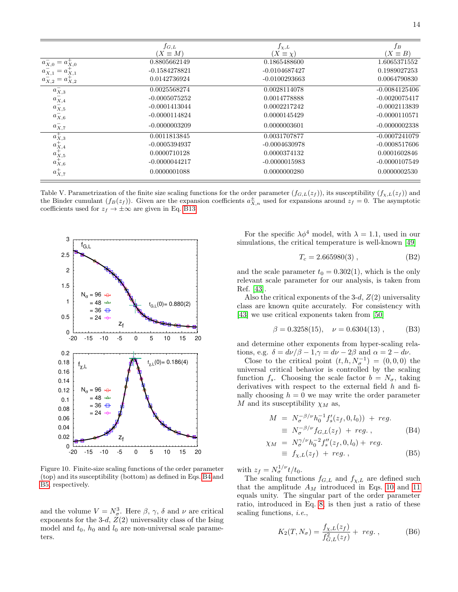|                                                                                                                                                                                                                                                                                                                                                                                                                                                                | $f_{G,L}$<br>$(X \equiv M)$ | $f_{\chi,L}$<br>$(X \equiv \chi)$ | $f_B$<br>$(X \equiv B)$ |
|----------------------------------------------------------------------------------------------------------------------------------------------------------------------------------------------------------------------------------------------------------------------------------------------------------------------------------------------------------------------------------------------------------------------------------------------------------------|-----------------------------|-----------------------------------|-------------------------|
|                                                                                                                                                                                                                                                                                                                                                                                                                                                                | 0.8805662149                | 0.1865488600                      | 1.6065371552            |
| $a_{X,0}^-$<br>$a_{X,0}$<br>$a_{X,1}$                                                                                                                                                                                                                                                                                                                                                                                                                          | $-0.1584278821$             | $-0.0104687427$                   | 0.1989027253            |
| $a_{X,2}$<br>$u_{X,2}$                                                                                                                                                                                                                                                                                                                                                                                                                                         | 0.0142736924                | $-0.0100293663$                   | 0.0064790830            |
| $a_{X,3}^-$                                                                                                                                                                                                                                                                                                                                                                                                                                                    | 0.0025568274                | 0.0028114078                      | $-0.0084125406$         |
|                                                                                                                                                                                                                                                                                                                                                                                                                                                                | $-0.0005075252$             | 0.0014778888                      | $-0.0020075417$         |
|                                                                                                                                                                                                                                                                                                                                                                                                                                                                | $-0.0001413044$             | 0.0002217242                      | $-0.0002113839$         |
| $\overset{a_{X,4}^{-}}{a_{X,5}^{-}}\atop{\overset{a_{X,6}^{-}}{a_{X,6}^{-}}}% \quad \  \  \text{and} \quad \  \  \text{and} \quad \  \  \text{and} \quad \  \  \text{and} \quad \  \  \text{and} \quad \  \  \text{and} \quad \  \text{and} \quad \  \  \text{and} \quad \  \  \text{and} \quad \  \  \text{and} \quad \  \  \text{and} \quad \  \  \text{and} \quad \  \  \text{and} \quad \  \  \text{and} \quad \  \  \text{and} \quad \  \text{and} \quad$ | $-0.0000114824$             | 0.0000145429                      | $-0.0000110571$         |
| $a_{X,7}^-$                                                                                                                                                                                                                                                                                                                                                                                                                                                    | $-0.0000003209$             | 0.0000003601                      | $-0.0000002338$         |
|                                                                                                                                                                                                                                                                                                                                                                                                                                                                | 0.0011813845                | 0.0031707877                      | $-0.0007241079$         |
|                                                                                                                                                                                                                                                                                                                                                                                                                                                                | $-0.0005394937$             | $-0.0004630978$                   | $-0.0008517606$         |
|                                                                                                                                                                                                                                                                                                                                                                                                                                                                | 0.0000710128                | 0.0000374132                      | 0.0001602846            |
| $\begin{array}{c} \hline a_{X,3}^+ \\ a_{X,4}^+ \\ a_{X,5}^+ \\ a_{X,6}^+ \end{array}$                                                                                                                                                                                                                                                                                                                                                                         | $-0.0000044217$             | $-0.0000015983$                   | $-0.0000107549$         |
| $a_{X,7}^{+}$                                                                                                                                                                                                                                                                                                                                                                                                                                                  | 0.0000001088                | 0.0000000280                      | 0.0000002530            |

<span id="page-13-2"></span>Table V. Parametrization of the finite size scaling functions for the order parameter  $(f_{G,L}(z_f))$ , its susceptibility  $(f_{\chi,L}(z_f))$  and the Binder cumulant  $(f_B(z_f))$ . Given are the expansion coefficients  $a_{X,n}^{\pm}$  used for expansions around  $z_f = 0$ . The asymptotic coefficients used for  $z_f \to \pm \infty$  are given in Eq. [B13.](#page-14-0)



<span id="page-13-0"></span>Figure 10. Finite-size scaling functions of the order parameter (top) and its susceptibility (bottom) as defined in Eqs. [B4](#page-13-1) and [B5,](#page-13-1) respectively.

and the volume  $V = N_{\sigma}^3$ . Here  $\beta$ ,  $\gamma$ ,  $\delta$  and  $\nu$  are critical exponents for the 3-d,  $Z(2)$  universality class of the Ising model and  $t_0$ ,  $h_0$  and  $l_0$  are non-universal scale parameters.

For the specific  $\lambda \phi^4$  model, with  $\lambda = 1.1$ , used in our simulations, the critical temperature is well-known [\[49\]](#page-16-23)

$$
T_c = 2.665980(3) , \t\t(B2)
$$

and the scale parameter  $t_0 = 0.302(1)$ , which is the only relevant scale parameter for our analysis, is taken from Ref. [\[43\]](#page-16-17).

Also the critical exponents of the 3-d,  $Z(2)$  universality class are known quite accurately. For consistency with [\[43\]](#page-16-17) we use critical exponents taken from [\[50\]](#page-16-24)

$$
\beta = 0.3258(15), \quad \nu = 0.6304(13) , \quad (B3)
$$

and determine other exponents from hyper-scaling relations, e.g.  $\delta = d\nu/\beta - 1, \gamma = d\nu - 2\beta$  and  $\alpha = 2 - d\nu$ .

Close to the critical point  $(t, h, N<sub>\sigma</sub><sup>-1</sup>) = (0, 0, 0)$  the universal critical behavior is controlled by the scaling function  $f_s$ . Choosing the scale factor  $b = N_{\sigma}$ , taking derivatives with respect to the external field h and finally choosing  $h = 0$  we may write the order parameter M and its susceptibility  $\chi_M$  as,

<span id="page-13-1"></span>
$$
M = N_{\sigma}^{-\beta/\nu} h_0^{-1} f_s'(z_f, 0, l_0) + reg.
$$
  
\n
$$
\equiv N_{\sigma}^{-\beta/\nu} f_{G,L}(z_f) + reg.
$$
 (B4)

$$
\chi_M = N_{\sigma}^{\gamma/\nu} h_0^{-2} f_s''(z_f, 0, l_0) + reg.
$$
  
\n
$$
\equiv f_{\chi, L}(z_f) + reg.
$$
 (B5)

with  $z_f = N_{\sigma}^{1/\nu} t/t_0$ .

The scaling functions  $f_{G,L}$  and  $f_{\chi,L}$  are defined such that the amplitude  $A_M$  introduced in Eqs. [10](#page-3-4) and [11](#page-3-4) equals unity. The singular part of the order parameter ratio, introduced in Eq. [8,](#page-3-0) is then just a ratio of these scaling functions, i.e.,

<span id="page-13-3"></span>
$$
K_2(T, N_{\sigma}) = \frac{f_{\chi, L}(z_f)}{f_{G, L}^2(z_f)} + \, reg. \,, \tag{B6}
$$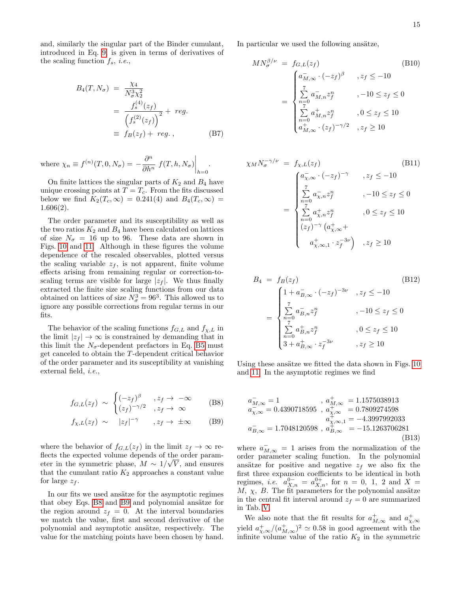and, similarly the singular part of the Binder cumulant, introduced in Eq. [9,](#page-3-2) is given in terms of derivatives of the scaling function  $f_s$ , *i.e.*,

<span id="page-14-2"></span>
$$
B_4(T, N_{\sigma}) = \frac{\chi_4}{N_{\sigma}^3 \chi_2^2}
$$
  
= 
$$
\frac{f_s^{(4)}(z_f)}{\left(f_s^{(2)}(z_f)\right)^2} + reg.
$$
  

$$
\equiv f_B(z_f) + reg.
$$
 (B7)

where  $\chi_n \equiv f^{(n)}(T, 0, N_\sigma) = -\frac{\partial^n}{\partial \mu_n}$  $\left.\frac{\partial^n}{\partial h^n} f(T, h, N_\sigma)\right|_{h=0}$ .

On finite lattices the singular parts of  $K_2$  and  $B_4$  have unique crossing points at  $T = T_c$ . From the fits discussed below we find  $K_2(T_c, \infty) = 0.241(4)$  and  $B_4(T_c, \infty) =$ 1.606(2).

The order parameter and its susceptibility as well as the two ratios  $K_2$  and  $B_4$  have been calculated on lattices of size  $N_{\sigma} = 16$  up to 96. These data are shown in Figs. [10](#page-13-0) and [11.](#page-15-20) Although in these figures the volume dependence of the rescaled observables, plotted versus the scaling variable  $z_f$ , is not apparent, finite volume effects arising from remaining regular or correction-toscaling terms are visible for large  $|z_f|$ . We thus finally extracted the finite size scaling functions from our data obtained on lattices of size  $N^3_\sigma = 96^3$ . This allowed us to ignore any possible corrections from regular terms in our fits.

The behavior of the scaling functions  $f_{G,L}$  and  $f_{\chi,L}$  in the limit  $|z_f| \to \infty$  is constrained by demanding that in this limit the  $N_{\sigma}$ -dependent prefactors in Eq. [B5](#page-13-1) must get canceled to obtain the T-dependent critical behavior of the order parameter and its susceptibility at vanishing external field, i.e.,

<span id="page-14-1"></span>
$$
f_{G,L}(z_f) \sim \begin{cases} (-z_f)^{\beta} & , z_f \to -\infty \\ (z_f)^{-\gamma/2} & , z_f \to \infty \end{cases}
$$
 (B8)

$$
f_{\chi,L}(z_f) \sim |z_f|^{-\gamma} \quad , z_f \to \pm \infty \quad (B9)
$$

where the behavior of  $f_{G,L}(z_f)$  in the limit  $z_f \to \infty$  reflects the expected volume depends of the order parameter in the symmetric phase,  $M \sim 1/\sqrt{V}$ , and ensures that the cumulant ratio  $K_2$  approaches a constant value for large  $z_f$ .

In our fits we used ansätze for the asymptotic regimes that obey Eqs. [B8](#page-14-1) and [B9](#page-14-1) and polynomial ansätze for the region around  $z_f = 0$ . At the interval boundaries we match the value, first and second derivative of the polynomial and asymptotic ansätze, respectively. The value for the matching points have been chosen by hand.

In particular we used the following ansätze,

$$
MN_{\sigma}^{\beta/\nu} = f_{G,L}(z_f)
$$
\n
$$
= \begin{cases}\na_{M,\infty}^{\top} \cdot (-z_f)^{\beta} & , z_f \leq -10 \\
\sum_{n=0}^{7} a_{M,n}^{\top} z_f^n & , -10 \leq z_f \leq 0 \\
\sum_{n=0}^{7} a_{M,n}^{\top} z_f^n & , 0 \leq z_f \leq 10 \\
a_{M,\infty}^{\top} \cdot (z_f)^{-\gamma/2} & , z_f \geq 10\n\end{cases}
$$
\n(B10)

$$
\chi_M N_{\sigma}^{-\gamma/\nu} = f_{\chi,L}(z_f)
$$
\n
$$
= \begin{cases}\na_{\chi,\infty}^{-} \cdot (-z_f)^{-\gamma} & , z_f \le -10 \\
\sum_{n=0}^{7} a_{\chi,n}^{-} z_f^n & , -10 \le z_f \le 0 \\
\sum_{n=0}^{7} a_{\chi,n}^{+} z_f^n & , 0 \le z_f \le 10 \\
(z_f)^{-\gamma} (a_{\chi,\infty}^{+} + \\
a_{\chi,\infty,1}^{+} \cdot z_f^{-3\nu}) & , z_f \ge 10\n\end{cases}
$$
\n(B11)

$$
B_4 = f_B(z_f)
$$
\n(B12)\n
$$
= \begin{cases}\n1 + a_{B,\infty}^-(-z_f)^{-3\nu}, & z_f \le -10 \\
\sum_{n=0}^7 a_{B,n}^2 z_f^n, & -10 \le z_f \le 0 \\
\sum_{n=0}^7 a_{B,n}^+ z_f^n, & 0 \le z_f \le 10 \\
3 + a_{B,\infty}^+ \cdot z_f^{-3\nu}, & z_f \ge 10\n\end{cases}
$$
\n(B12)

Using these ansätze we fitted the data shown in Figs. [10](#page-13-0) and [11.](#page-15-20) In the asymptotic regimes we find

<span id="page-14-0"></span>
$$
a_{M,\infty}^{-} = 1 \t , a_{M,\infty}^{+} = 1.1575038913a_{\chi,\infty}^{-} = 0.4390718595 , a_{\chi,\infty}^{+} = 0.7809274598a_{\chi,\infty,1}^{+} = -4.3997992033a_{B,\infty}^{-} = 1.7048120598 , a_{B,\infty}^{+} = -15.1263706281(B13)
$$

where  $a_{M,\infty}^- = 1$  arises from the normalization of the order parameter scaling function. In the polynomial ansätze for positive and negative  $z_f$  we also fix the first three expansion coefficients to be identical in both regimes, *i.e.*  $a_{X,n}^{0-} = a_{X,n}^{0+}$ , for  $n = 0, 1, 2$  and  $X =$  $M, \chi, B$ . The fit parameters for the polynomial ansätze in the central fit interval around  $z_f = 0$  are summarized in Tab. [V.](#page-13-2)

We also note that the fit results for  $a_{M,\infty}^+$  and  $a_{\chi,\infty}^+$ yield  $a^+_{\chi,\infty}/(a^+_{M,\infty})^2 \simeq 0.58$  in good agreement with the infinite volume value of the ratio  $K_2$  in the symmetric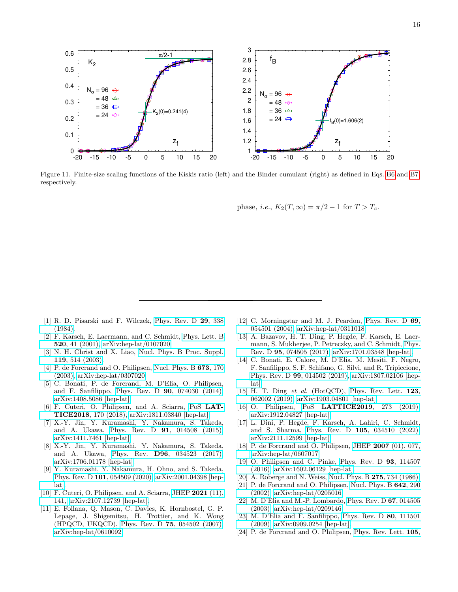

<span id="page-15-20"></span>Figure 11. Finite-size scaling functions of the Kiskis ratio (left) and the Binder cumulant (right) as defined in Eqs. [B6](#page-13-3) and [B7,](#page-14-2) respectively.

phase, *i.e.*,  $K_2(T, \infty) = \pi/2 - 1$  for  $T > T_c$ .

- <span id="page-15-0"></span>[1] R. D. Pisarski and F. Wilczek, [Phys. Rev. D](https://doi.org/10.1103/PhysRevD.29.338) 29, 338 [\(1984\).](https://doi.org/10.1103/PhysRevD.29.338)
- <span id="page-15-1"></span>[2] F. Karsch, E. Laermann, and C. Schmidt, [Phys. Lett. B](https://doi.org/10.1016/S0370-2693(01)01114-5) 520[, 41 \(2001\),](https://doi.org/10.1016/S0370-2693(01)01114-5) [arXiv:hep-lat/0107020.](https://arxiv.org/abs/hep-lat/0107020)
- [3] N. H. Christ and X. Liao, [Nucl. Phys. B Proc. Suppl.](https://doi.org/10.1016/S0920-5632(03)01600-1) 119[, 514 \(2003\).](https://doi.org/10.1016/S0920-5632(03)01600-1)
- <span id="page-15-2"></span>[4] P. de Forcrand and O. Philipsen, [Nucl. Phys. B](https://doi.org/10.1016/j.nuclphysb.2003.09.005) **673**, 170 [\(2003\),](https://doi.org/10.1016/j.nuclphysb.2003.09.005) [arXiv:hep-lat/0307020.](https://arxiv.org/abs/hep-lat/0307020)
- <span id="page-15-3"></span>[5] C. Bonati, P. de Forcrand, M. D'Elia, O. Philipsen, and F. Sanfilippo, Phys. Rev. D 90[, 074030 \(2014\),](https://doi.org/10.1103/PhysRevD.90.074030) [arXiv:1408.5086 \[hep-lat\].](https://arxiv.org/abs/1408.5086)
- <span id="page-15-4"></span>[6] F. Cuteri, O. Philipsen, and A. Sciarra, PoS [LAT-](https://doi.org/10.22323/1.334.0170)TICE2018[, 170 \(2018\),](https://doi.org/10.22323/1.334.0170) [arXiv:1811.03840 \[hep-lat\].](https://arxiv.org/abs/1811.03840)
- <span id="page-15-5"></span>[7] X.-Y. Jin, Y. Kuramashi, Y. Nakamura, S. Takeda, and A. Ukawa, Phys. Rev. D 91[, 014508 \(2015\),](https://doi.org/10.1103/PhysRevD.91.014508) [arXiv:1411.7461 \[hep-lat\].](https://arxiv.org/abs/1411.7461)
- [8] X.-Y. Jin, Y. Kuramashi, Y. Nakamura, S. Takeda, and A. Ukawa, Phys. Rev. D96[, 034523 \(2017\),](https://doi.org/10.1103/PhysRevD.96.034523) [arXiv:1706.01178 \[hep-lat\].](https://arxiv.org/abs/1706.01178)
- <span id="page-15-6"></span>[9] Y. Kuramashi, Y. Nakamura, H. Ohno, and S. Takeda, Phys. Rev. D 101[, 054509 \(2020\),](https://doi.org/10.1103/PhysRevD.101.054509) [arXiv:2001.04398 \[hep](https://arxiv.org/abs/2001.04398)[lat\].](https://arxiv.org/abs/2001.04398)
- <span id="page-15-7"></span>[10] F. Cuteri, O. Philipsen, and A. Sciarra, [JHEP](https://doi.org/10.1007/JHEP11(2021)141) 2021 (11), [141,](https://doi.org/10.1007/JHEP11(2021)141) [arXiv:2107.12739 \[hep-lat\].](https://arxiv.org/abs/2107.12739)
- <span id="page-15-8"></span>[11] E. Follana, Q. Mason, C. Davies, K. Hornbostel, G. P. Lepage, J. Shigemitsu, H. Trottier, and K. Wong (HPQCD, UKQCD), Phys. Rev. D 75[, 054502 \(2007\),](https://doi.org/10.1103/PhysRevD.75.054502) [arXiv:hep-lat/0610092.](https://arxiv.org/abs/hep-lat/0610092)
- <span id="page-15-9"></span>[12] C. Morningstar and M. J. Peardon, [Phys. Rev. D](https://doi.org/10.1103/PhysRevD.69.054501) 69, [054501 \(2004\),](https://doi.org/10.1103/PhysRevD.69.054501) [arXiv:hep-lat/0311018.](https://arxiv.org/abs/hep-lat/0311018)
- <span id="page-15-10"></span>[13] A. Bazavov, H. T. Ding, P. Hegde, F. Karsch, E. Laermann, S. Mukherjee, P. Petreczky, and C. Schmidt, [Phys.](https://doi.org/10.1103/PhysRevD.95.074505) Rev. D 95[, 074505 \(2017\),](https://doi.org/10.1103/PhysRevD.95.074505) [arXiv:1701.03548 \[hep-lat\].](https://arxiv.org/abs/1701.03548)
- <span id="page-15-18"></span>[14] C. Bonati, E. Calore, M. D'Elia, M. Mesiti, F. Negro, F. Sanfilippo, S. F. Schifano, G. Silvi, and R. Tripiccione, Phys. Rev. D 99[, 014502 \(2019\),](https://doi.org/10.1103/PhysRevD.99.014502) [arXiv:1807.02106 \[hep](https://arxiv.org/abs/1807.02106)[lat\].](https://arxiv.org/abs/1807.02106)
- <span id="page-15-19"></span>[15] H. T. Ding et al. (HotQCD), [Phys. Rev. Lett.](https://doi.org/10.1103/PhysRevLett.123.062002)  $123$ , [062002 \(2019\),](https://doi.org/10.1103/PhysRevLett.123.062002) [arXiv:1903.04801 \[hep-lat\].](https://arxiv.org/abs/1903.04801)
- [16] O. Philipsen, PoS **[LATTICE2019](https://doi.org/10.22323/1.363.0273)**, 273 (2019), [arXiv:1912.04827 \[hep-lat\].](https://arxiv.org/abs/1912.04827)
- <span id="page-15-11"></span>[17] L. Dini, P. Hegde, F. Karsch, A. Lahiri, C. Schmidt, and S. Sharma, Phys. Rev. D 105[, 034510 \(2022\),](https://doi.org/10.1103/PhysRevD.105.034510) [arXiv:2111.12599 \[hep-lat\].](https://arxiv.org/abs/2111.12599)
- <span id="page-15-12"></span>[18] P. de Forcrand and O. Philipsen, JHEP 2007 [\(01\), 077,](https://doi.org/10.1088/1126-6708/2007/01/077) [arXiv:hep-lat/0607017.](https://arxiv.org/abs/hep-lat/0607017)
- <span id="page-15-13"></span>[19] O. Philipsen and C. Pinke, [Phys. Rev. D](https://doi.org/10.1103/PhysRevD.93.114507) 93, 114507 [\(2016\),](https://doi.org/10.1103/PhysRevD.93.114507) [arXiv:1602.06129 \[hep-lat\].](https://arxiv.org/abs/1602.06129)
- <span id="page-15-14"></span>[20] A. Roberge and N. Weiss, [Nucl. Phys. B](https://doi.org/10.1016/0550-3213(86)90582-1) **275**, 734 (1986).
- [21] P. de Forcrand and O. Philipsen, [Nucl. Phys. B](https://doi.org/10.1016/S0550-3213(02)00626-0)  $642$ , 290 [\(2002\),](https://doi.org/10.1016/S0550-3213(02)00626-0) [arXiv:hep-lat/0205016.](https://arxiv.org/abs/hep-lat/0205016)
- <span id="page-15-15"></span>[22] M. D'Elia and M.-P. Lombardo, [Phys. Rev. D](https://doi.org/10.1103/PhysRevD.67.014505) 67, 014505 [\(2003\),](https://doi.org/10.1103/PhysRevD.67.014505) [arXiv:hep-lat/0209146.](https://arxiv.org/abs/hep-lat/0209146)
- <span id="page-15-16"></span>[23] M. D'Elia and F. Sanfilippo, [Phys. Rev. D](https://doi.org/10.1103/PhysRevD.80.111501) 80, 111501 [\(2009\),](https://doi.org/10.1103/PhysRevD.80.111501) [arXiv:0909.0254 \[hep-lat\].](https://arxiv.org/abs/0909.0254)
- <span id="page-15-17"></span>[24] P. de Forcrand and O. Philipsen, [Phys. Rev. Lett.](https://doi.org/10.1103/PhysRevLett.105.152001) **105**,